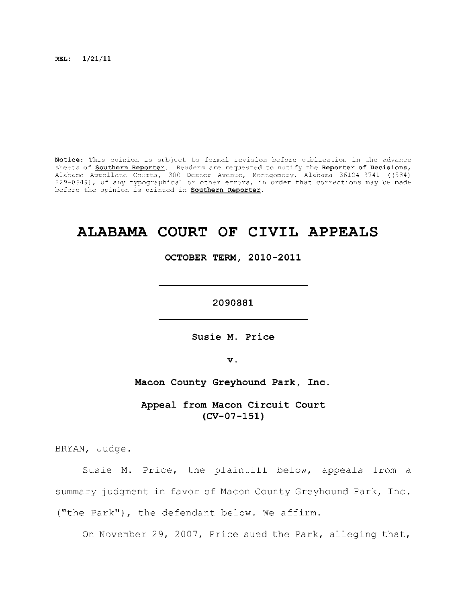**REL: 1/21/11** 

Notice: This opinion is subject to formal revision before publication in the advance sheets of **Southern Reporter**. Readers are requested to notify the Reporter of Decisions, Alabama Appellat e Courts , 300 Dexte r Avenue, Montgomery, Alabama 36104-3741 ((334) 229-0649), of any typographical or other errors, in order that corrections may be made before the opinion is printed in **Southern Reporter**.

# **ALABAMA COURT OF CIVIL APPEALS**

**OCTOBER TERM, 2010-2011** 

**2090881** 

Susie M. Price

**v.** 

**Macon County Greyhound Park, Inc.** 

Appeal from Macon Circuit Court **(CV-07-151)** 

BRYAN, Judge.

Susie M. Price, the plaintiff below, appeals from a summary judgment in favor of Macon County Greyhound Park, Inc. ("the Park"), the defendant below. We affirm.

On November 29, 2007, Price sued the Park, alleging that,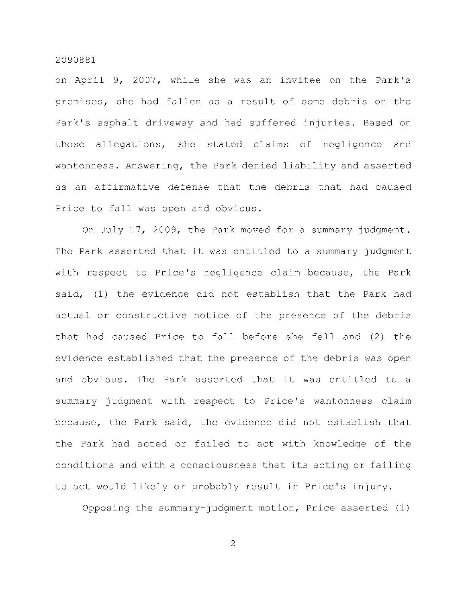on April 9, 2007, while she was an invitee on the Park's premises, she had fallen as a result of some debris on the Park's asphalt driveway and had suffered injuries. Based on those allegations, she stated claims of negligence and wantonness. Answering, the Park denied liability and asserted as an affirmative defense that the debris that had caused Price to fall was open and obvious.

On July 17, 2009, the Park moved for a summary judgment. The Park asserted that it was entitled to a summary judgment with respect to Price's negligence claim because, the Park said, (1) the evidence did not establish that the Park had actual or constructive notice of the presence of the debris that had caused Price to fall before she fell and (2) the evidence established that the presence of the debris was open and obvious. The Park asserted that it was entitled to a summary judgment with respect to Price's wantonness claim because, the Park said, the evidence did not establish that the Park had acted or failed to act with knowledge of the conditions and with a consciousness that its acting or failing to act would likely or probably result in Price's injury.

Opposing the summary-judgment motion, Price asserted  $(1)$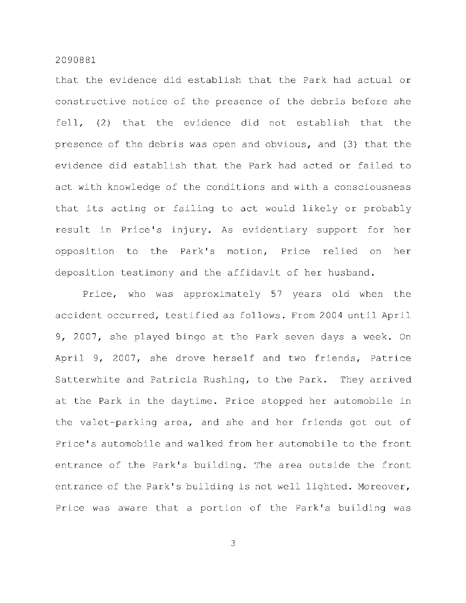that the evidence did establish that the Park had actual or constructive notice of the presence of the debris before she fell,  $(2)$  that the evidence did not establish that the presence of the debris was open and obvious, and (3) that the evidence did establish that the Park had acted or failed to act with knowledge of the conditions and with a consciousness that its acting or failing to act would likely or probably result in Price's injury. As evidentiary support for her opposition to the Park's motion, Price relied on her deposition testimony and the affidavit of her husband.

Price, who was approximately 57 years old when the accident occurred, testified as follows. From 2004 until April 9, 2007, she played bingo at the Park seven days a week. On April 9, 2007, she drove herself and two friends, Patrice Satterwhite and Patricia Rushing, to the Park. They arrived at the Park in the daytime. Price stopped her automobile in the valet-parking area, and she and her friends got out of Price's automobile and walked from her automobile to the front entrance of the Park's building. The area outside the front entrance of the Park's building is not well lighted. Moreover, Price was aware that a portion of the Park's building was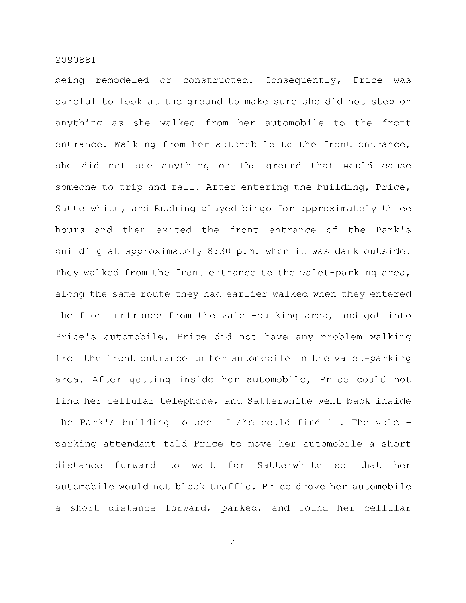being remodeled or constructed. Consequently, Price was careful to look at the ground to make sure she did not step on anything as she walked from her automobile to the front entrance. Walking from her automobile to the front entrance, she did not see anything on the ground that would cause someone to trip and fall. After entering the building, Price, Satterwhite, and Rushing played bingo for approximately three hours and then exited the front entrance of the Park's building at approximately 8:30 p.m. when it was dark outside. They walked from the front entrance to the valet-parking area, along the same route they had earlier walked when they entered the front entrance from the valet-parking area, and got into Price's automobile. Price did not have any problem walking from the front entrance to her automobile in the valet-parking area. After getting inside her automobile, Price could not find her cellular telephone, and Satterwhite went back inside the Park's building to see if she could find it. The valetparking attendant told Price to move her automobile a short distance forward to wait for Satterwhite so that her automobile would not block traffic. Price drove her automobile a short distance forward, parked, and found her cellular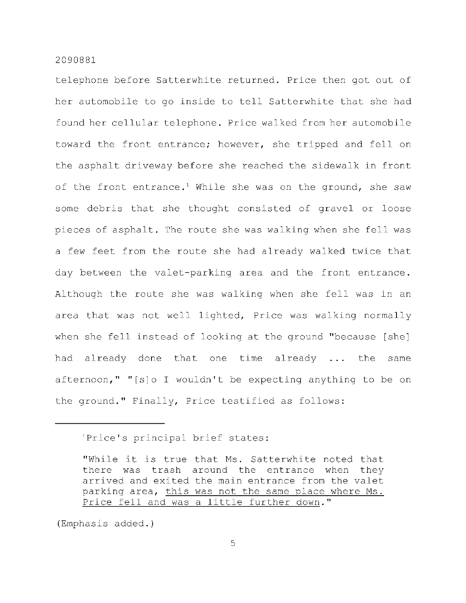telephone before Satterwhite returned. Price then got out of her automobile to go inside to tell Satterwhite that she had found her cellular telephone. Price walked from her automobile toward the front entrance; however, she tripped and fell on the asphalt driveway before she reached the sidewalk in front of the front entrance.<sup>1</sup> While she was on the ground, she saw some debris that she thought consisted of gravel or loose pieces of asphalt. The route she was walking when she fell was a few feet from the route she had already walked twice that day between the valet-parking area and the front entrance. Although the route she was walking when she fell was in an area that was not well lighted, Price was walking normally when she fell instead of looking at the ground "because [she] had already done that one time already ... the same afternoon," "[s] o I wouldn't be expecting anything to be on the ground." Finally, Price testified as follows:

(Emphasis added.)

<sup>&#</sup>x27;Price's principal brief states:

<sup>&</sup>quot;While it is true that Ms. Satterwhite noted that there was trash around the entrance when they arrived and exited the main entrance from the valet parking area, this was not the same place where Ms. Price fell and was a little further down."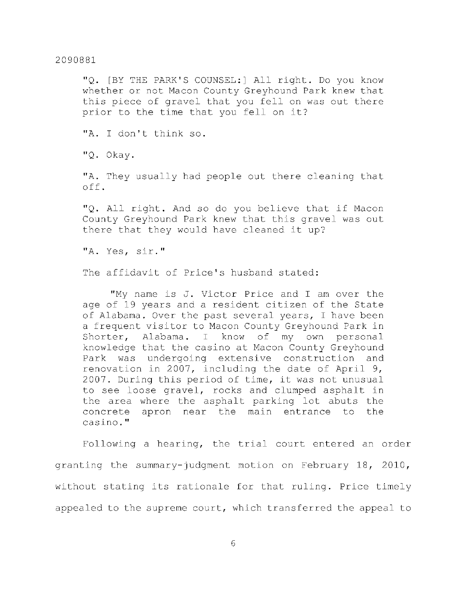"Q. [BY THE PARK'S COUNSEL:] All right. Do you know whether or not Macon County Greyhound Park knew that this piece of gravel that you fell on was out there prior to the time that you fell on it?

"A. I don't think so.

"Q. Okay.

"A. They usually had people out there cleaning that off .

"Q. All right. And so do you believe that if Macon County Greyhound Park knew that this gravel was out there that they would have cleaned it up?

"A. Yes, sir. "

The affidavit of Price's husband stated:

"My name is J. Victor Price and I am over the age of 19 years and a resident citizen of the State of Alabama. Over the past several years, I have been a frequent visitor to Macon County Greyhound Park in Shorter, Alabama. I know of my own personal knowledge that the casino at Macon County Greyhound Park was undergoing extensive construction and renovation in 2007, including the date of April 9, 2007. During this period of time, it was not unusual to see loose gravel, rocks and clumped asphalt in the area where the asphalt parking lot abuts the concrete apron near the main entrance to the casino. "

Following a hearing, the trial court entered an order granting the summary-judgment motion on February 18, 2010, without stating its rationale for that ruling. Price timely appealed to the supreme court, which transferred the appeal to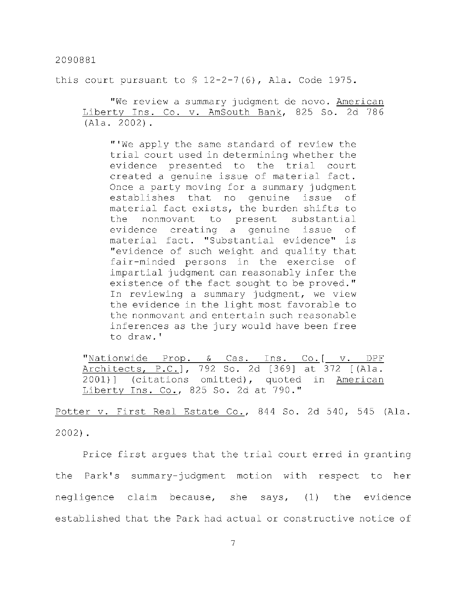this court pursuant to  $\frac{6}{7}$  12-2-7(6), Ala. Code 1975.

"We review a summary judgment de novo. American Liberty Ins. Co. v. AmSouth Bank, 825 So. 2d 786  $(Ala. 2002).$ 

"'We apply the same standard of review the trial court used in determining whether the evidence presented to the trial court created a genuine issue of material fact. Once a party moving for a summary judgment establishes that no genuine issue of material fact exists, the burden shifts to the nonmovant to present substantial evidence creating a genuine issue of material fact. "Substantial evidence" is "evidence of such weight and quality that fair-minded persons in the exercise of impartial judgment can reasonably infer the existence of the fact sought to be proved." In reviewing a summary judgment, we view the evidence in the light most favorable to the nonmovant and entertain such reasonable inferences as the jury would have been free to draw.'

"Nationwide Prop. & Cas. Ins. Co.[ v. DPF Architects, P.C.], 792 So. 2d [369] at 372 [(Ala.  $2001$ ] (citations omitted), quoted in American Liberty Ins. Co., 825 So. 2d at 790."

Potter v. First Real Estate Co., 844 So. 2d 540, 545 (Ala. 2002).

Price first argues that the trial court erred in granting the Park's summary-judgment motion with respect to her negligence claim because, she says,  $(1)$  the evidence established that the Park had actual or constructive notice of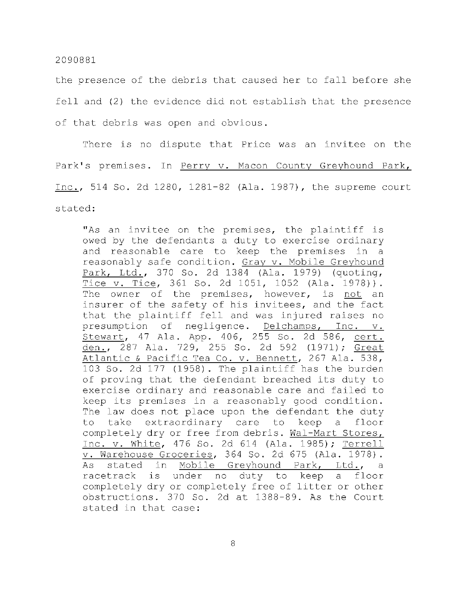the presence of the debris that caused her to fall before she fell and (2) the evidence did not establish that the presence of that debris was open and obvious.

There is no dispute that Price was an invitee on the Park's premises. In Perry v. Macon County Greyhound Park, Inc., 514 So. 2d 1280, 1281-82 (Ala. 1987), the supreme court stated:

"As an invitee on the premises, the plaintiff is owed by the defendants a duty to exercise ordinary and reasonable care to keep the premises in a reasonably safe condition. Gray v. Mobile Greyhound Park, Ltd., 370 So. 2d 1384 (Ala. 1979) (quoting, Tice v. Tice, 361 So. 2d 1051, 1052 (Ala. 1978)). The owner of the premises, however, is not an insurer of the safety of his invitees, and the fact that the plaintiff fell and was injured raises no presumption of negligence. Delchamps, Inc. v. Stewart, 47 Ala. App. 406, 255 So. 2d 586, cert. den., 287 Ala. 729, 255 So. 2d 592 (1971); Great Atlantic & Pacific Tea Co. v. Bennett, 267 Ala. 538, 103 So. 2d 177 (1958). The plaintiff has the burden of proving that the defendant breached its duty to exercise ordinary and reasonable care and failed to keep its premises in a reasonably good condition. The law does not place upon the defendant the duty to take extraordinary care to keep a floor completely dry or free from debris. Wal-Mart Stores, Inc. v. White, 476 So. 2d 614 (Ala. 1985); Terrell v. Warehouse Groceries, 364 So. 2d 675 (Ala. 1978). As stated in Mobile Greyhound Park, Ltd., a racetrack is under no duty to keep a floor completely dry or completely free of litter or other obstructions. 370 So. 2d at 1388-89. As the Court stated in that case: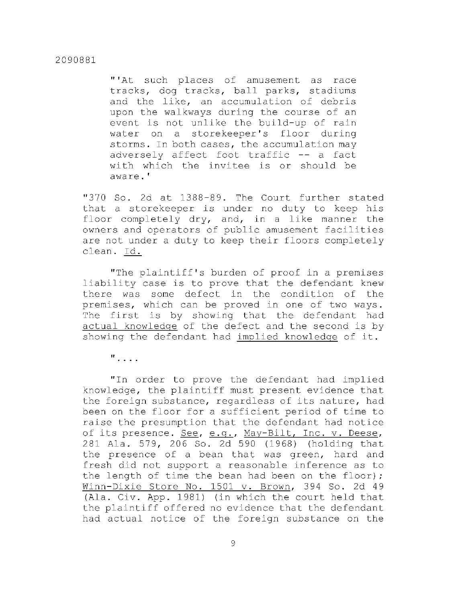"'At such places of amusement as race tracks, dog tracks, ball parks, stadiums and the like, an accumulation of debris upon the walkways during the course of an event is not unlike the build-up of rain water on a storekeeper's floor during storms. In both cases, the accumulation may adversely affect foot traffic -- a fact with which the invitee is or should be aware.'

"370 So. 2d at 1388-89. The Court further stated that a storekeeper is under no duty to keep his floor completely  $\text{dry}$ , and, in a like manner the owners and operators of public amusement facilities are not under a duty to keep their floors completely clean. Id.

"The plaintiff's burden of proof in a premises liability case is to prove that the defendant knew there was some defect in the condition of the premises, which can be proved in one of two ways. The first is by showing that the defendant had actual knowledge of the defect and the second is by showing the defendant had implied knowledge of it.

"

"In order to prove the defendant had implied knowledge, the plaintiff must present evidence that the foreign substance, regardless of its nature, had been on the floor for a sufficient period of time to raise the presumption that the defendant had notice of its presence. See, e.g., May-Bilt, Inc. v. Deese, 281 Ala. 579, 206 So. 2d 590 (1968) (holding that the presence of a bean that was green, hard and fresh did not support a reasonable inference as to the length of time the bean had been on the floor); Winn-Dixie Store No. 1501 v. Brown, 394 So. 2d 49 (Ala. Civ. App. 1981) (in which the court held that the plaintiff offered no evidence that the defendant had actual notice of the foreign substance on the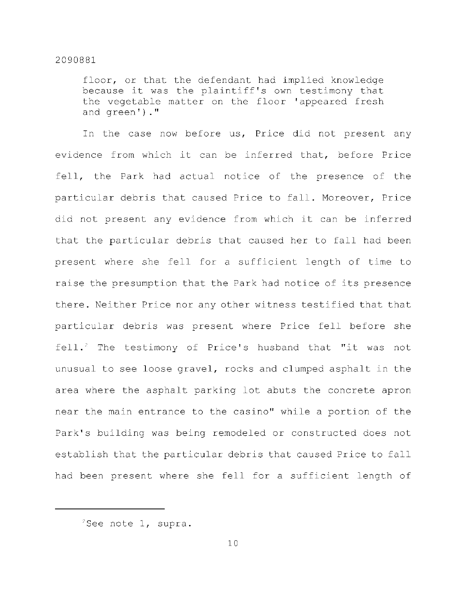floor, or that the defendant had implied knowledge because it was the plaintiff's own testimony that the vegetable matter on the floor 'appeared fresh and green')."

In the case now before us, Price did not present any evidence from which it can be inferred that, before Price fell, the Park had actual notice of the presence of the particular debris that caused Price to fall. Moreover, Price did not present any evidence from which it can be inferred that the particular debris that caused her to fall had been present where she fell for a sufficient length of time to raise the presumption that the Park had notice of its presence there. Neither Price nor any other witness testified that that particular debris was present where Price fell before she fell. <sup>2</sup> The testimony of Price's husband that "it was not unusual to see loose gravel, rocks and clumped asphalt in the area where the asphalt parking lot abuts the concrete apron near the main entrance to the casino" while a portion of the Park's building was being remodeled or constructed does not establish that the particular debris that caused Price to fall had been present where she fell for a sufficient length of

 ${}^{2}$ See note 1, supra.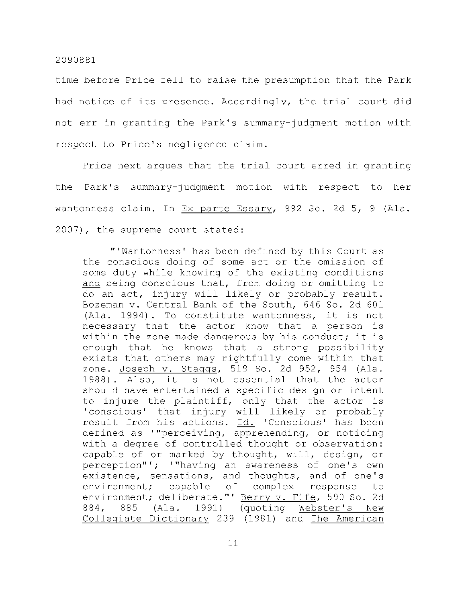time before Price fell to raise the presumption that the Park had notice of its presence. Accordingly, the trial court did not err in granting the Park's summary-judgment motion with respect to Price's negligence claim.

Price next argues that the trial court erred in granting the Park's summary-judgment motion with respect to her wantonness claim. In Ex parte Essary, 992 So. 2d 5, 9 (Ala.  $2007$ ), the supreme court stated:

"'Wantonness' has been defined by this Court as the conscious doing of some act or the omission of some duty while knowing of the existing conditions and being conscious that, from doing or omitting to do an act, injury will likely or probably result. Bozeman v. Central Bank of the South, 646 So. 2d 601  $(Ala. 1994)$ . To constitute wantonness, it is not necessary that the actor know that a person is within the zone made dangerous by his conduct; it is enough that he knows that a strong possibility exists that others may rightfully come within that zone. Joseph v. Staggs, 519 So. 2d 952, 954 (Ala. 1988). Also, it is not essential that the actor should have entertained a specific design or intent to injure the plaintiff, only that the actor is 'conscious' that injury will likely or probably result from his actions. Id. 'Conscious' has been defined as '"perceiving, apprehending, or noticing with a degree of controlled thought or observation: capable of or marked by thought, will, design, or perception"'; '"having an awareness of one's own existence, sensations, and thoughts, and of one's environment; capable of complex response to environment; deliberate."' Berry v. Fife, 590 So. 2d 884, 885 (Ala. 1991) (quoting Webster's New Collegiate Dictionary 239 (1981) and The American